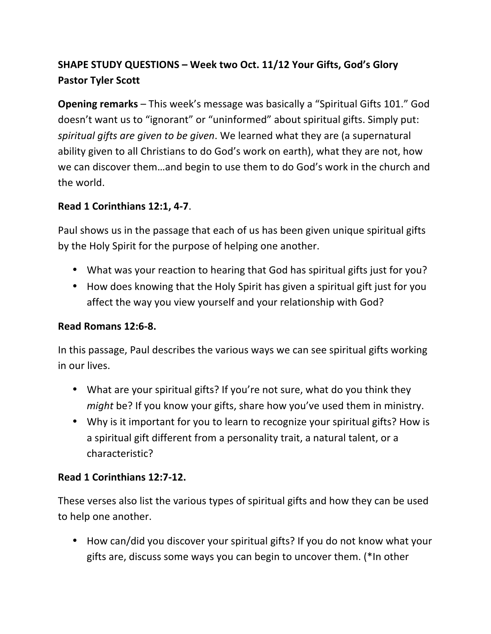# **SHAPE STUDY QUESTIONS – Week two Oct. 11/12 Your Gifts, God's Glory Pastor Tyler Scott**

**Opening remarks** – This week's message was basically a "Spiritual Gifts 101." God doesn't want us to "ignorant" or "uninformed" about spiritual gifts. Simply put: *spiritual gifts are given to be given*. We learned what they are (a supernatural ability given to all Christians to do God's work on earth), what they are not, how we can discover them...and begin to use them to do God's work in the church and the world.

### **Read 1 Corinthians 12:1, 4-7**.

Paul shows us in the passage that each of us has been given unique spiritual gifts by the Holy Spirit for the purpose of helping one another.

- What was your reaction to hearing that God has spiritual gifts just for you?
- How does knowing that the Holy Spirit has given a spiritual gift just for you affect the way you view yourself and your relationship with God?

#### **Read Romans 12:6-8.**

In this passage, Paul describes the various ways we can see spiritual gifts working in our lives.

- What are your spiritual gifts? If you're not sure, what do you think they *might* be? If you know your gifts, share how you've used them in ministry.
- Why is it important for you to learn to recognize your spiritual gifts? How is a spiritual gift different from a personality trait, a natural talent, or a characteristic?

#### **Read 1 Corinthians 12:7-12.**

These verses also list the various types of spiritual gifts and how they can be used to help one another.

• How can/did you discover your spiritual gifts? If you do not know what your gifts are, discuss some ways you can begin to uncover them. (\*In other